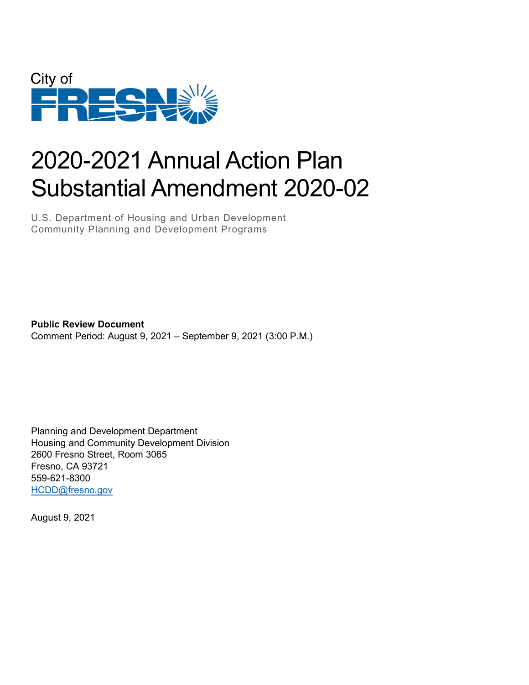

# 2020-2021 Annual Action Plan Substantial Amendment 2020-02

U.S. Department of Housing and Urban Development Community Planning and Development Programs

**Public Review Document** Comment Period: August 9, 2021 – September 9, 2021 (3:00 P.M.)

Planning and Development Department Housing and Community Development Division 2600 Fresno Street, Room 3065 Fresno, CA 93721 559-621-8300 [HCDD@fresno.gov](mailto:HCDD@fresno.gov)

August 9, 2021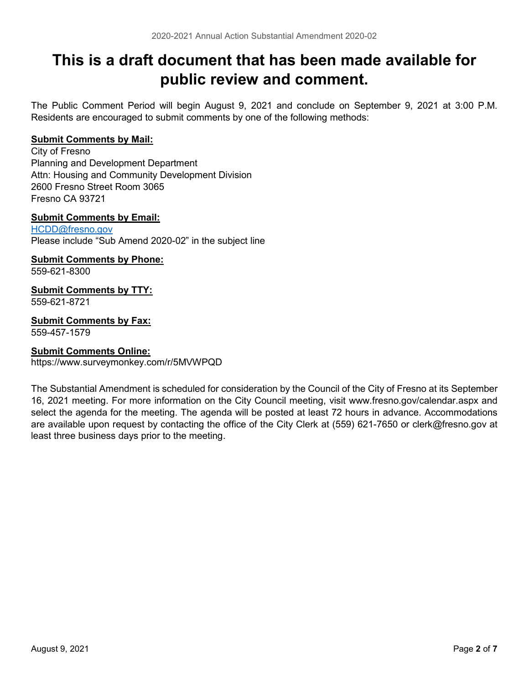# **This is a draft document that has been made available for public review and comment.**

The Public Comment Period will begin August 9, 2021 and conclude on September 9, 2021 at 3:00 P.M. Residents are encouraged to submit comments by one of the following methods:

#### **Submit Comments by Mail:**

City of Fresno Planning and Development Department Attn: Housing and Community Development Division 2600 Fresno Street Room 3065 Fresno CA 93721

#### **Submit Comments by Email:**

[HCDD@fresno.gov](mailto:HCDD@fresno.gov) Please include "Sub Amend 2020-02" in the subject line

### **Submit Comments by Phone:**

559-621-8300

#### **Submit Comments by TTY:** 559-621-8721

**Submit Comments by Fax:** 559-457-1579

### **Submit Comments Online:**

https://www.surveymonkey.com/r/5MVWPQD

The Substantial Amendment is scheduled for consideration by the Council of the City of Fresno at its September 16, 2021 meeting. For more information on the City Council meeting, visit www.fresno.gov/calendar.aspx and select the agenda for the meeting. The agenda will be posted at least 72 hours in advance. Accommodations are available upon request by contacting the office of the City Clerk at (559) 621-7650 or clerk@fresno.gov at least three business days prior to the meeting.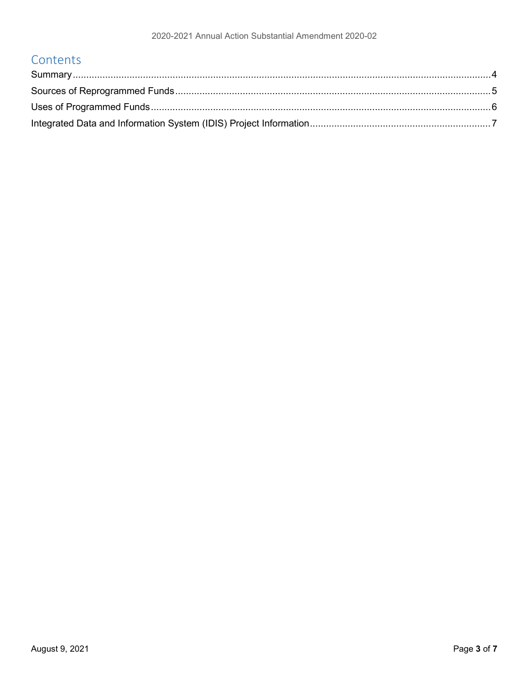### Contents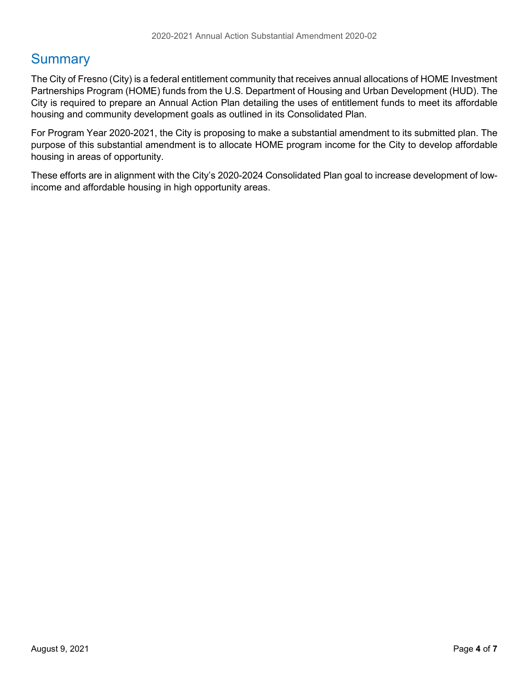### <span id="page-3-0"></span>**Summary**

The City of Fresno (City) is a federal entitlement community that receives annual allocations of HOME Investment Partnerships Program (HOME) funds from the U.S. Department of Housing and Urban Development (HUD). The City is required to prepare an Annual Action Plan detailing the uses of entitlement funds to meet its affordable housing and community development goals as outlined in its Consolidated Plan.

For Program Year 2020-2021, the City is proposing to make a substantial amendment to its submitted plan. The purpose of this substantial amendment is to allocate HOME program income for the City to develop affordable housing in areas of opportunity.

These efforts are in alignment with the City's 2020-2024 Consolidated Plan goal to increase development of lowincome and affordable housing in high opportunity areas.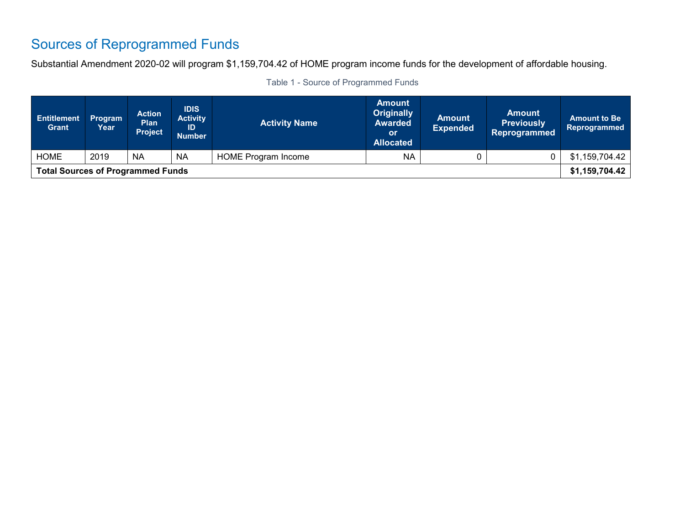# Sources of Reprogrammed Funds

Substantial Amendment 2020-02 will program \$1,159,704.42 of HOME program income funds for the development of affordable housing.

<span id="page-4-0"></span>

| <b>Entitlement</b><br><b>Grant</b>       | <b>Program</b><br>Year | <b>Action</b><br><b>Plan</b><br><b>Project</b> | <b>IDIS</b><br><b>Activity</b><br>ID<br><b>Number</b> | <b>Activity Name</b>                    | <b>Amount</b><br><b>Originally</b><br><b>Awarded</b><br>or<br><b>Allocated</b> | <b>Amount</b><br><b>Expended</b> | <b>Amount</b><br><b>Previously</b><br><b>Reprogrammed</b> | <b>Amount to Be</b><br>Reprogrammed |
|------------------------------------------|------------------------|------------------------------------------------|-------------------------------------------------------|-----------------------------------------|--------------------------------------------------------------------------------|----------------------------------|-----------------------------------------------------------|-------------------------------------|
| <b>HOME</b>                              | 2019                   | <b>NA</b>                                      | <b>NA</b>                                             | <b>NA</b><br><b>HOME Program Income</b> |                                                                                |                                  |                                                           | \$1,159,704.42                      |
| <b>Total Sources of Programmed Funds</b> |                        |                                                |                                                       |                                         |                                                                                |                                  | \$1,159,704.42                                            |                                     |

|  |  |  |  | Table 1 - Source of Programmed Funds |  |
|--|--|--|--|--------------------------------------|--|
|--|--|--|--|--------------------------------------|--|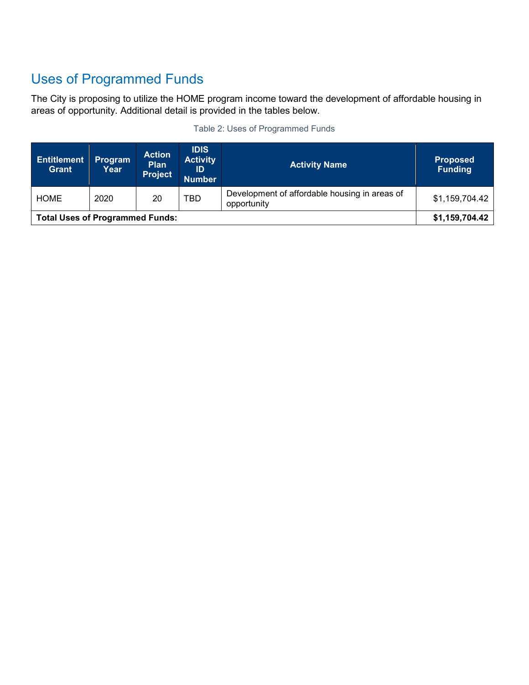# <span id="page-5-0"></span>Uses of Programmed Funds

The City is proposing to utilize the HOME program income toward the development of affordable housing in areas of opportunity. Additional detail is provided in the tables below.

| <b>Entitlement</b><br><b>Grant</b>     | Program<br>Year | <b>Action</b><br><b>Plan</b><br><b>Project</b> | <b>IDIS</b><br><b>Activity</b><br>ID<br><b>Number</b> | <b>Activity Name</b>                                         | <b>Proposed</b><br><b>Funding</b> |
|----------------------------------------|-----------------|------------------------------------------------|-------------------------------------------------------|--------------------------------------------------------------|-----------------------------------|
| <b>HOME</b>                            | 2020            | 20                                             | <b>TBD</b>                                            | Development of affordable housing in areas of<br>opportunity | \$1,159,704.42                    |
| <b>Total Uses of Programmed Funds:</b> |                 |                                                |                                                       | \$1,159,704.42                                               |                                   |

|  |  | Table 2: Uses of Programmed Funds |  |
|--|--|-----------------------------------|--|
|  |  |                                   |  |